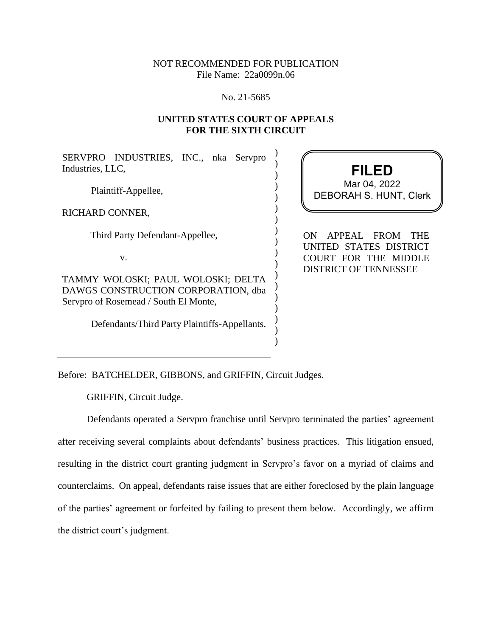## NOT RECOMMENDED FOR PUBLICATION File Name: 22a0099n.06

#### No. 21-5685

## **UNITED STATES COURT OF APPEALS FOR THE SIXTH CIRCUIT**

) ) ) ) ) ) ) ) ) ) ) ) ) ) ) ) ) )

SERVPRO INDUSTRIES, INC., nka Servpro Industries, LLC,

Plaintiff-Appellee,

RICHARD CONNER,

Third Party Defendant-Appellee,

v.

TAMMY WOLOSKI; PAUL WOLOSKI; DELTA DAWGS CONSTRUCTION CORPORATION, dba Servpro of Rosemead / South El Monte,

Defendants/Third Party Plaintiffs-Appellants.

# **FILED** DEBORAH S. HUNT, Clerk Mar 04, 2022

ON APPEAL FROM THE UNITED STATES DISTRICT COURT FOR THE MIDDLE DISTRICT OF TENNESSEE

Before: BATCHELDER, GIBBONS, and GRIFFIN, Circuit Judges.

GRIFFIN, Circuit Judge.

Defendants operated a Servpro franchise until Servpro terminated the parties' agreement after receiving several complaints about defendants' business practices. This litigation ensued, resulting in the district court granting judgment in Servpro's favor on a myriad of claims and counterclaims. On appeal, defendants raise issues that are either foreclosed by the plain language of the parties' agreement or forfeited by failing to present them below. Accordingly, we affirm the district court's judgment.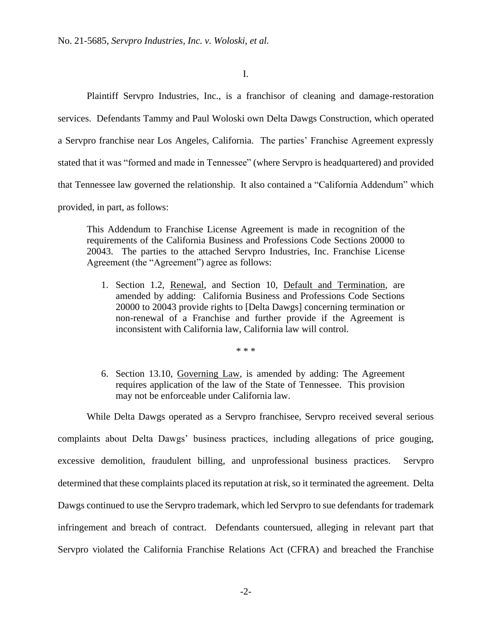I.

Plaintiff Servpro Industries, Inc., is a franchisor of cleaning and damage-restoration services. Defendants Tammy and Paul Woloski own Delta Dawgs Construction, which operated a Servpro franchise near Los Angeles, California. The parties' Franchise Agreement expressly stated that it was "formed and made in Tennessee" (where Servpro is headquartered) and provided that Tennessee law governed the relationship. It also contained a "California Addendum" which provided, in part, as follows:

This Addendum to Franchise License Agreement is made in recognition of the requirements of the California Business and Professions Code Sections 20000 to 20043. The parties to the attached Servpro Industries, Inc. Franchise License Agreement (the "Agreement") agree as follows:

1. Section 1.2, Renewal, and Section 10, Default and Termination, are amended by adding: California Business and Professions Code Sections 20000 to 20043 provide rights to [Delta Dawgs] concerning termination or non-renewal of a Franchise and further provide if the Agreement is inconsistent with California law, California law will control.

\* \* \*

6. Section 13.10, Governing Law, is amended by adding: The Agreement requires application of the law of the State of Tennessee. This provision may not be enforceable under California law.

While Delta Dawgs operated as a Servpro franchisee, Servpro received several serious

complaints about Delta Dawgs' business practices, including allegations of price gouging, excessive demolition, fraudulent billing, and unprofessional business practices. Servpro determined that these complaints placed its reputation at risk, so it terminated the agreement. Delta Dawgs continued to use the Servpro trademark, which led Servpro to sue defendants for trademark infringement and breach of contract. Defendants countersued, alleging in relevant part that Servpro violated the California Franchise Relations Act (CFRA) and breached the Franchise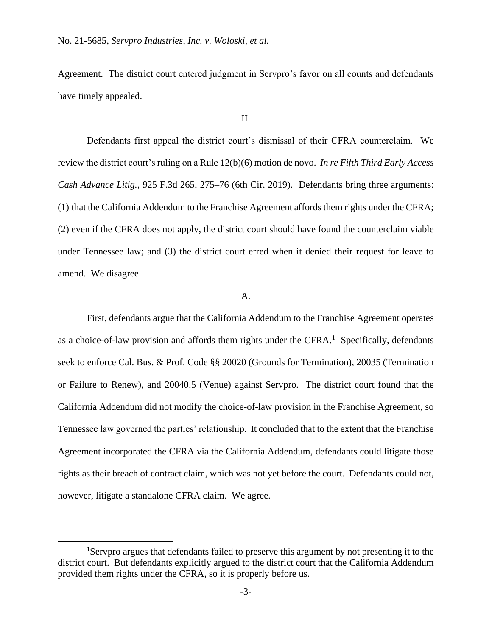Agreement. The district court entered judgment in Servpro's favor on all counts and defendants have timely appealed.

#### II.

Defendants first appeal the district court's dismissal of their CFRA counterclaim. We review the district court's ruling on a Rule 12(b)(6) motion de novo. *In re Fifth Third Early Access Cash Advance Litig.*, 925 F.3d 265, 275–76 (6th Cir. 2019). Defendants bring three arguments: (1) that the California Addendum to the Franchise Agreement affords them rights under the CFRA; (2) even if the CFRA does not apply, the district court should have found the counterclaim viable under Tennessee law; and (3) the district court erred when it denied their request for leave to amend. We disagree.

### A.

First, defendants argue that the California Addendum to the Franchise Agreement operates as a choice-of-law provision and affords them rights under the CFRA. $<sup>1</sup>$  Specifically, defendants</sup> seek to enforce Cal. Bus. & Prof. Code §§ 20020 (Grounds for Termination), 20035 (Termination or Failure to Renew), and 20040.5 (Venue) against Servpro. The district court found that the California Addendum did not modify the choice-of-law provision in the Franchise Agreement, so Tennessee law governed the parties' relationship. It concluded that to the extent that the Franchise Agreement incorporated the CFRA via the California Addendum, defendants could litigate those rights as their breach of contract claim, which was not yet before the court. Defendants could not, however, litigate a standalone CFRA claim. We agree.

<sup>&</sup>lt;sup>1</sup>Servpro argues that defendants failed to preserve this argument by not presenting it to the district court. But defendants explicitly argued to the district court that the California Addendum provided them rights under the CFRA, so it is properly before us.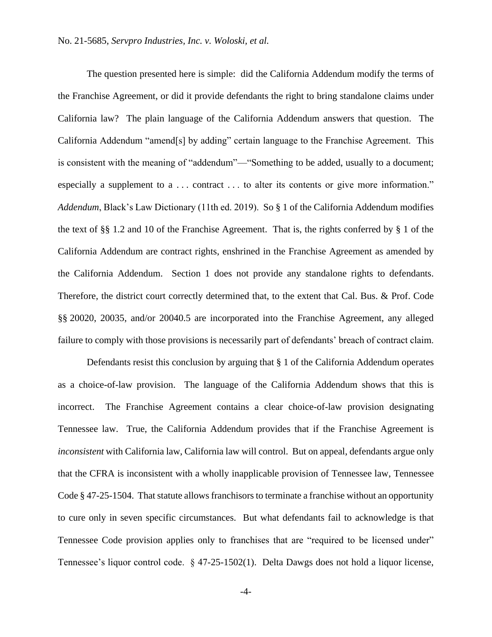The question presented here is simple: did the California Addendum modify the terms of the Franchise Agreement, or did it provide defendants the right to bring standalone claims under California law? The plain language of the California Addendum answers that question. The California Addendum "amend[s] by adding" certain language to the Franchise Agreement. This is consistent with the meaning of "addendum"—"Something to be added, usually to a document; especially a supplement to a ... contract ... to alter its contents or give more information." *Addendum*, Black's Law Dictionary (11th ed. 2019). So § 1 of the California Addendum modifies the text of §§ 1.2 and 10 of the Franchise Agreement. That is, the rights conferred by § 1 of the California Addendum are contract rights, enshrined in the Franchise Agreement as amended by the California Addendum. Section 1 does not provide any standalone rights to defendants. Therefore, the district court correctly determined that, to the extent that Cal. Bus. & Prof. Code §§ 20020, 20035, and/or 20040.5 are incorporated into the Franchise Agreement, any alleged failure to comply with those provisions is necessarily part of defendants' breach of contract claim.

Defendants resist this conclusion by arguing that § 1 of the California Addendum operates as a choice-of-law provision. The language of the California Addendum shows that this is incorrect. The Franchise Agreement contains a clear choice-of-law provision designating Tennessee law. True, the California Addendum provides that if the Franchise Agreement is *inconsistent* with California law, California law will control. But on appeal, defendants argue only that the CFRA is inconsistent with a wholly inapplicable provision of Tennessee law, Tennessee Code § 47-25-1504. That statute allowsfranchisors to terminate a franchise without an opportunity to cure only in seven specific circumstances. But what defendants fail to acknowledge is that Tennessee Code provision applies only to franchises that are "required to be licensed under" Tennessee's liquor control code. § 47-25-1502(1). Delta Dawgs does not hold a liquor license,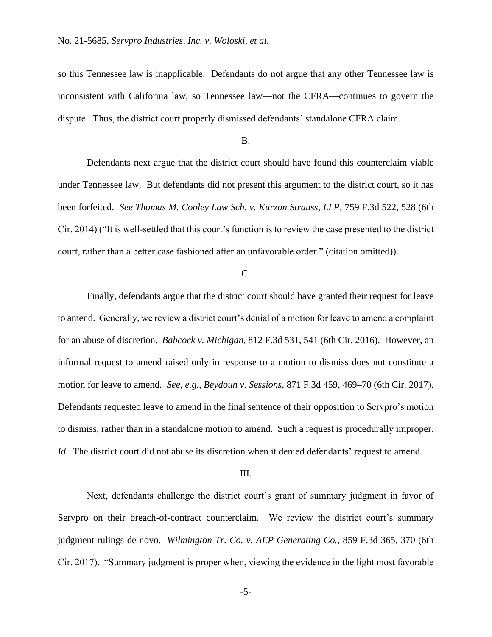so this Tennessee law is inapplicable. Defendants do not argue that any other Tennessee law is inconsistent with California law, so Tennessee law—not the CFRA—continues to govern the dispute. Thus, the district court properly dismissed defendants' standalone CFRA claim.

#### B.

Defendants next argue that the district court should have found this counterclaim viable under Tennessee law. But defendants did not present this argument to the district court, so it has been forfeited. *See Thomas M. Cooley Law Sch. v. Kurzon Strauss, LLP*, 759 F.3d 522, 528 (6th Cir. 2014) ("It is well-settled that this court's function is to review the case presented to the district court, rather than a better case fashioned after an unfavorable order." (citation omitted)).

#### C.

Finally, defendants argue that the district court should have granted their request for leave to amend. Generally, we review a district court's denial of a motion for leave to amend a complaint for an abuse of discretion. *Babcock v. Michigan*, 812 F.3d 531, 541 (6th Cir. 2016). However, an informal request to amend raised only in response to a motion to dismiss does not constitute a motion for leave to amend. *See*, *e.g., Beydoun v. Sessions*, 871 F.3d 459, 469–70 (6th Cir. 2017). Defendants requested leave to amend in the final sentence of their opposition to Servpro's motion to dismiss, rather than in a standalone motion to amend. Such a request is procedurally improper. *Id*. The district court did not abuse its discretion when it denied defendants' request to amend.

### III.

Next, defendants challenge the district court's grant of summary judgment in favor of Servpro on their breach-of-contract counterclaim. We review the district court's summary judgment rulings de novo. *Wilmington Tr. Co. v. AEP Generating Co.*, 859 F.3d 365, 370 (6th Cir. 2017). "Summary judgment is proper when, viewing the evidence in the light most favorable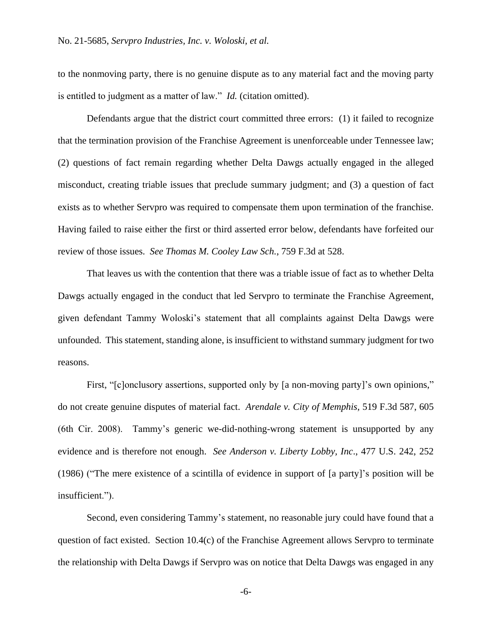to the nonmoving party, there is no genuine dispute as to any material fact and the moving party is entitled to judgment as a matter of law." *Id.* (citation omitted).

Defendants argue that the district court committed three errors: (1) it failed to recognize that the termination provision of the Franchise Agreement is unenforceable under Tennessee law; (2) questions of fact remain regarding whether Delta Dawgs actually engaged in the alleged misconduct, creating triable issues that preclude summary judgment; and (3) a question of fact exists as to whether Servpro was required to compensate them upon termination of the franchise. Having failed to raise either the first or third asserted error below, defendants have forfeited our review of those issues. *See Thomas M. Cooley Law Sch.*, 759 F.3d at 528.

That leaves us with the contention that there was a triable issue of fact as to whether Delta Dawgs actually engaged in the conduct that led Servpro to terminate the Franchise Agreement, given defendant Tammy Woloski's statement that all complaints against Delta Dawgs were unfounded. This statement, standing alone, is insufficient to withstand summary judgment for two reasons.

First, "[c]onclusory assertions, supported only by [a non-moving party]'s own opinions," do not create genuine disputes of material fact. *Arendale v. City of Memphis*, 519 F.3d 587, 605 (6th Cir. 2008). Tammy's generic we-did-nothing-wrong statement is unsupported by any evidence and is therefore not enough. *See Anderson v. Liberty Lobby, Inc*., 477 U.S. 242, 252 (1986) ("The mere existence of a scintilla of evidence in support of [a party]'s position will be insufficient.").

Second, even considering Tammy's statement, no reasonable jury could have found that a question of fact existed. Section 10.4(c) of the Franchise Agreement allows Servpro to terminate the relationship with Delta Dawgs if Servpro was on notice that Delta Dawgs was engaged in any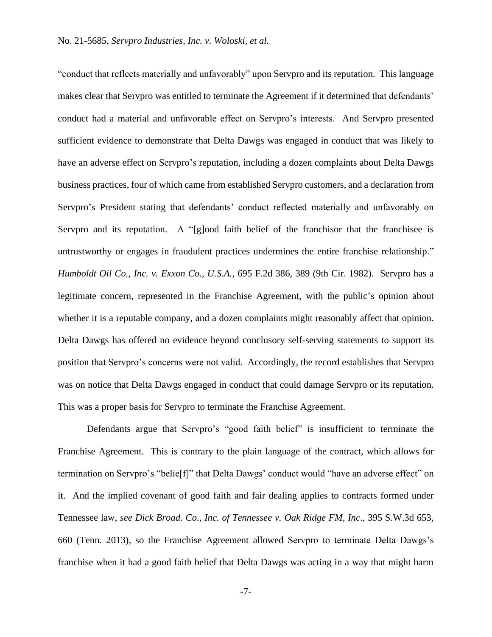"conduct that reflects materially and unfavorably" upon Servpro and its reputation. This language makes clear that Servpro was entitled to terminate the Agreement if it determined that defendants' conduct had a material and unfavorable effect on Servpro's interests. And Servpro presented sufficient evidence to demonstrate that Delta Dawgs was engaged in conduct that was likely to have an adverse effect on Servpro's reputation, including a dozen complaints about Delta Dawgs business practices, four of which came from established Servpro customers, and a declaration from Servpro's President stating that defendants' conduct reflected materially and unfavorably on Servpro and its reputation. A "[g]ood faith belief of the franchisor that the franchisee is untrustworthy or engages in fraudulent practices undermines the entire franchise relationship." *Humboldt Oil Co., Inc. v. Exxon Co., U.S.A.*, 695 F.2d 386, 389 (9th Cir. 1982). Servpro has a legitimate concern, represented in the Franchise Agreement, with the public's opinion about whether it is a reputable company, and a dozen complaints might reasonably affect that opinion. Delta Dawgs has offered no evidence beyond conclusory self-serving statements to support its position that Servpro's concerns were not valid. Accordingly, the record establishes that Servpro was on notice that Delta Dawgs engaged in conduct that could damage Servpro or its reputation. This was a proper basis for Servpro to terminate the Franchise Agreement.

Defendants argue that Servpro's "good faith belief" is insufficient to terminate the Franchise Agreement. This is contrary to the plain language of the contract, which allows for termination on Servpro's "belie[f]" that Delta Dawgs' conduct would "have an adverse effect" on it. And the implied covenant of good faith and fair dealing applies to contracts formed under Tennessee law, *see Dick Broad. Co., Inc. of Tennessee v. Oak Ridge FM, Inc*., 395 S.W.3d 653, 660 (Tenn. 2013), so the Franchise Agreement allowed Servpro to terminate Delta Dawgs's franchise when it had a good faith belief that Delta Dawgs was acting in a way that might harm